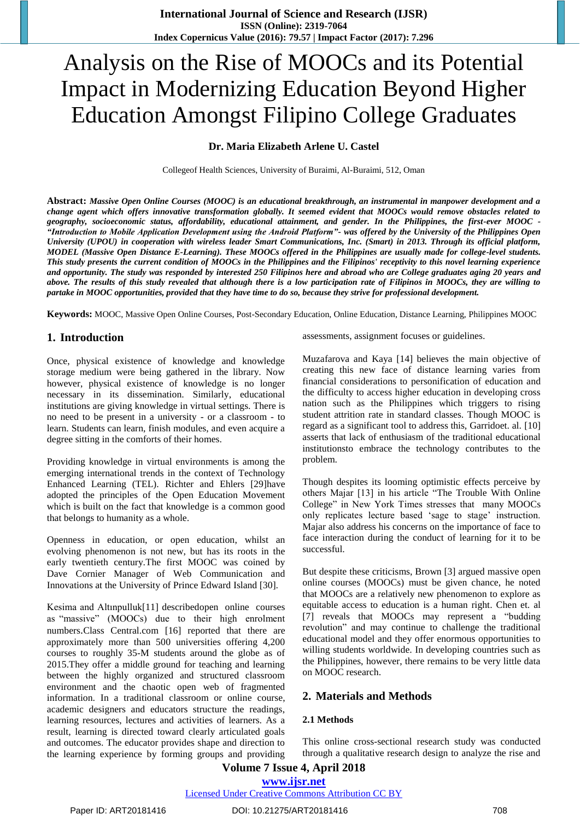# Analysis on the Rise of MOOCs and its Potential Impact in Modernizing Education Beyond Higher Education Amongst Filipino College Graduates

# **Dr. Maria Elizabeth Arlene U. Castel**

Collegeof Health Sciences, University of Buraimi, Al-Buraimi, 512, Oman

**Abstract:** *Massive Open Online Courses (MOOC) is an educational breakthrough, an instrumental in manpower development and a change agent which offers innovative transformation globally. It seemed evident that MOOCs would remove obstacles related to geography, socioeconomic status, affordability, educational attainment, and gender. In the Philippines, the first-ever MOOC - "Introduction to Mobile Application Development using the Android Platform"- was offered by the University of the Philippines Open University (UPOU) in cooperation with wireless leader Smart Communications, Inc. (Smart) in 2013. Through its official platform, MODEL (Massive Open Distance E-Learning). These MOOCs offered in the Philippines are usually made for college-level students. This study presents the current condition of MOOCs in the Philippines and the Filipinos' receptivity to this novel learning experience and opportunity. The study was responded by interested 250 Filipinos here and abroad who are College graduates aging 20 years and above. The results of this study revealed that although there is a low participation rate of Filipinos in MOOCs, they are willing to partake in MOOC opportunities, provided that they have time to do so, because they strive for professional development.*

**Keywords:** MOOC, Massive Open Online Courses, Post-Secondary Education, Online Education, Distance Learning, Philippines MOOC

#### **1. Introduction**

Once, physical existence of knowledge and knowledge storage medium were being gathered in the library. Now however, physical existence of knowledge is no longer necessary in its dissemination. Similarly, educational institutions are giving knowledge in virtual settings. There is no need to be present in a university - or a classroom - to learn. Students can learn, finish modules, and even acquire a degree sitting in the comforts of their homes.

Providing knowledge in virtual environments is among the emerging international trends in the context of Technology Enhanced Learning (TEL). Richter and Ehlers [29]have adopted the principles of the Open Education Movement which is built on the fact that knowledge is a common good that belongs to humanity as a whole.

Openness in education, or open education, whilst an evolving phenomenon is not new, but has its roots in the early twentieth century.The first MOOC was coined by Dave Cornier Manager of Web Communication and Innovations at the University of Prince Edward Island [30].

Kesima and Altınpulluk[11] describedopen online courses as "massive" (MOOCs) due to their high enrolment numbers.Class Central.com [16] reported that there are approximately more than 500 universities offering 4,200 courses to roughly 35-M students around the globe as of 2015.They offer a middle ground for teaching and learning between the highly organized and structured classroom environment and the chaotic open web of fragmented information. In a traditional classroom or online course, academic designers and educators structure the readings, learning resources, lectures and activities of learners. As a result, learning is directed toward clearly articulated goals and outcomes. The educator provides shape and direction to the learning experience by forming groups and providing assessments, assignment focuses or guidelines.

Muzafarova and Kaya [14] believes the main objective of creating this new face of distance learning varies from financial considerations to personification of education and the difficulty to access higher education in developing cross nation such as the Philippines which triggers to rising student attrition rate in standard classes. Though MOOC is regard as a significant tool to address this, Garridoet. al. [10] asserts that lack of enthusiasm of the traditional educational institutionsto embrace the technology contributes to the problem.

Though despites its looming optimistic effects perceive by others Majar [13] in his article "The Trouble With Online College" in New York Times stresses that many MOOCs only replicates lecture based 'sage to stage' instruction. Majar also address his concerns on the importance of face to face interaction during the conduct of learning for it to be successful.

But despite these criticisms, Brown [3] argued massive open online courses (MOOCs) must be given chance, he noted that MOOCs are a relatively new phenomenon to explore as equitable access to education is a human right. Chen et. al [7] reveals that MOOCs may represent a "budding revolution" and may continue to challenge the traditional educational model and they offer enormous opportunities to willing students worldwide. In developing countries such as the Philippines, however, there remains to be very little data on MOOC research.

# **2. Materials and Methods**

#### **2.1 Methods**

This online cross-sectional research study was conducted through a qualitative research design to analyze the rise and

# **Volume 7 Issue 4, April 2018 <www.ijsr.net>**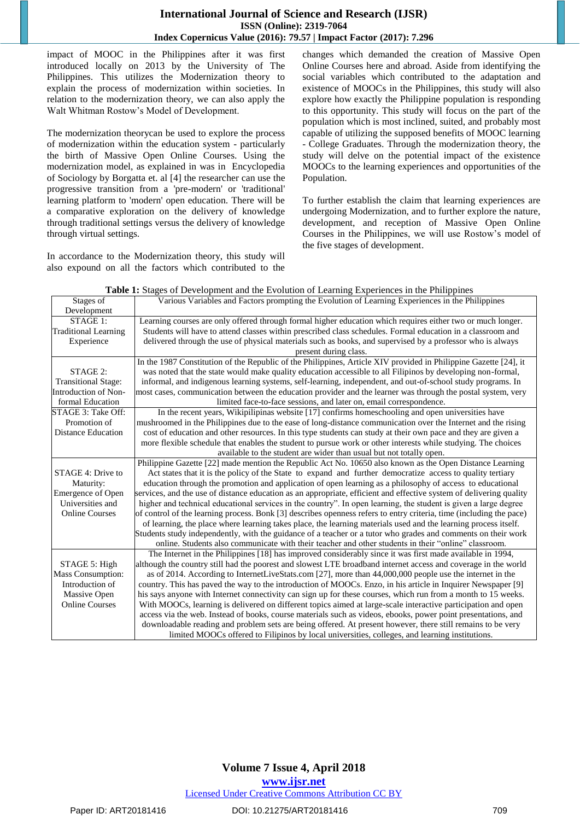# **International Journal of Science and Research (IJSR) ISSN (Online): 2319-7064 Index Copernicus Value (2016): 79.57 | Impact Factor (2017): 7.296**

impact of MOOC in the Philippines after it was first introduced locally on 2013 by the University of The Philippines. This utilizes the Modernization theory to explain the process of modernization within societies. In relation to the modernization theory, we can also apply the Walt Whitman Rostow"s Model of Development.

The modernization theorycan be used to explore the process of modernization within the education system - particularly the birth of Massive Open Online Courses. Using the modernization model, as explained in was in Encyclopedia of Sociology by Borgatta et. al [4] the researcher can use the progressive transition from a 'pre-modern' or 'traditional' learning platform to 'modern' open education. There will be a comparative exploration on the delivery of knowledge through traditional settings versus the delivery of knowledge through virtual settings.

In accordance to the Modernization theory, this study will also expound on all the factors which contributed to the changes which demanded the creation of Massive Open Online Courses here and abroad. Aside from identifying the social variables which contributed to the adaptation and existence of MOOCs in the Philippines, this study will also explore how exactly the Philippine population is responding to this opportunity. This study will focus on the part of the population which is most inclined, suited, and probably most capable of utilizing the supposed benefits of MOOC learning - College Graduates. Through the modernization theory, the study will delve on the potential impact of the existence MOOCs to the learning experiences and opportunities of the Population.

To further establish the claim that learning experiences are undergoing Modernization, and to further explore the nature, development, and reception of Massive Open Online Courses in the Philippines, we will use Rostow"s model of the five stages of development.

| Table 1: Stages of Development and the Evolution of Learning Experiences in the Philippines |  |  |
|---------------------------------------------------------------------------------------------|--|--|
|                                                                                             |  |  |

| Stages of                   | Various Variables and Factors prompting the Evolution of Learning Experiences in the Philippines                    |
|-----------------------------|---------------------------------------------------------------------------------------------------------------------|
| Development                 |                                                                                                                     |
| STAGE 1:                    | Learning courses are only offered through formal higher education which requires either two or much longer.         |
| <b>Traditional Learning</b> | Students will have to attend classes within prescribed class schedules. Formal education in a classroom and         |
| Experience                  | delivered through the use of physical materials such as books, and supervised by a professor who is always          |
|                             | present during class.                                                                                               |
|                             | In the 1987 Constitution of the Republic of the Philippines, Article XIV provided in Philippine Gazette [24], it    |
| STAGE 2:                    | was noted that the state would make quality education accessible to all Filipinos by developing non-formal,         |
| <b>Transitional Stage:</b>  | informal, and indigenous learning systems, self-learning, independent, and out-of-school study programs. In         |
| Introduction of Non-        | most cases, communication between the education provider and the learner was through the postal system, very        |
| formal Education            | limited face-to-face sessions, and later on, email correspondence.                                                  |
| STAGE 3: Take Off:          | In the recent years, Wikipilipinas website [17] confirms homeschooling and open universities have                   |
| Promotion of                | mushroomed in the Philippines due to the ease of long-distance communication over the Internet and the rising       |
| <b>Distance Education</b>   | cost of education and other resources. In this type students can study at their own pace and they are given a       |
|                             | more flexible schedule that enables the student to pursue work or other interests while studying. The choices       |
|                             | available to the student are wider than usual but not totally open.                                                 |
|                             | Philippine Gazette [22] made mention the Republic Act No. 10650 also known as the Open Distance Learning            |
| STAGE 4: Drive to           | Act states that it is the policy of the State to expand and further democratize access to quality tertiary          |
| Maturity:                   | education through the promotion and application of open learning as a philosophy of access to educational           |
| Emergence of Open           | services, and the use of distance education as an appropriate, efficient and effective system of delivering quality |
| Universities and            | higher and technical educational services in the country". In open learning, the student is given a large degree    |
| <b>Online Courses</b>       | of control of the learning process. Bonk [3] describes openness refers to entry criteria, time (including the pace) |
|                             | of learning, the place where learning takes place, the learning materials used and the learning process itself.     |
|                             | Students study independently, with the guidance of a teacher or a tutor who grades and comments on their work       |
|                             | online. Students also communicate with their teacher and other students in their "online" classroom.                |
|                             | The Internet in the Philippines [18] has improved considerably since it was first made available in 1994,           |
| STAGE 5: High               | although the country still had the poorest and slowest LTE broadband internet access and coverage in the world      |
| Mass Consumption:           | as of 2014. According to InternetLiveStats.com [27], more than 44,000,000 people use the internet in the            |
| Introduction of             | country. This has paved the way to the introduction of MOOCs. Enzo, in his article in Inquirer Newspaper [9]        |
| Massive Open                | his says anyone with Internet connectivity can sign up for these courses, which run from a month to 15 weeks.       |
| <b>Online Courses</b>       | With MOOCs, learning is delivered on different topics aimed at large-scale interactive participation and open       |
|                             | access via the web. Instead of books, course materials such as videos, ebooks, power point presentations, and       |
|                             | downloadable reading and problem sets are being offered. At present however, there still remains to be very         |
|                             | limited MOOCs offered to Filipinos by local universities, colleges, and learning institutions.                      |

# **Volume 7 Issue 4, April 2018**

**<www.ijsr.net>**

[Licensed Under Creative Commons Attribution CC BY](http://creativecommons.org/licenses/by/4.0/)

#### Paper ID: ART20181416 DOI: 10.21275/ART20181416 709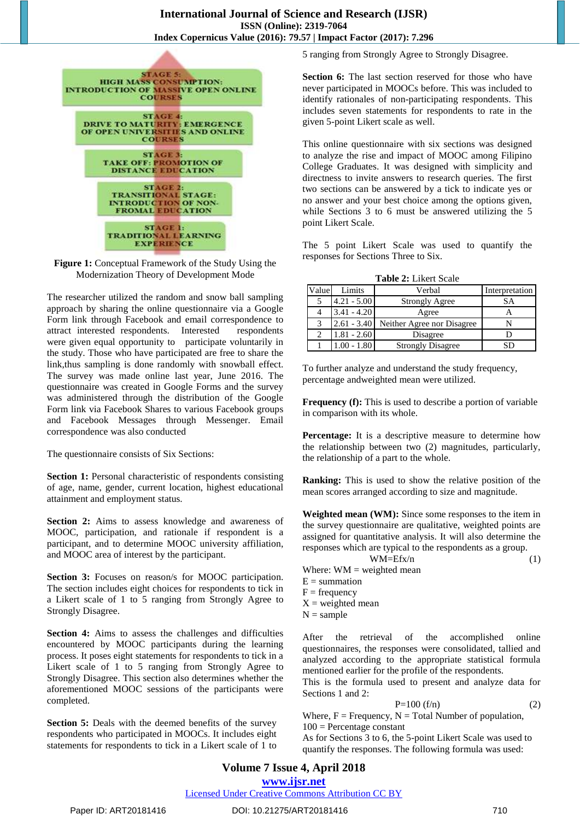

**Figure 1:** Conceptual Framework of the Study Using the Modernization Theory of Development Mode

The researcher utilized the random and snow ball sampling approach by sharing the online questionnaire via a Google Form link through Facebook and email correspondence to attract interested respondents. Interested respondents were given equal opportunity to participate voluntarily in the study. Those who have participated are free to share the link,thus sampling is done randomly with snowball effect. The survey was made online last year, June 2016. The questionnaire was created in Google Forms and the survey was administered through the distribution of the Google Form link via Facebook Shares to various Facebook groups and Facebook Messages through Messenger. Email correspondence was also conducted

The questionnaire consists of Six Sections:

**Section 1:** Personal characteristic of respondents consisting of age, name, gender, current location, highest educational attainment and employment status.

**Section 2:** Aims to assess knowledge and awareness of MOOC, participation, and rationale if respondent is a participant, and to determine MOOC university affiliation, and MOOC area of interest by the participant.

Section 3: Focuses on reason/s for MOOC participation. The section includes eight choices for respondents to tick in a Likert scale of 1 to 5 ranging from Strongly Agree to Strongly Disagree.

**Section 4:** Aims to assess the challenges and difficulties encountered by MOOC participants during the learning process. It poses eight statements for respondents to tick in a Likert scale of 1 to 5 ranging from Strongly Agree to Strongly Disagree. This section also determines whether the aforementioned MOOC sessions of the participants were completed.

**Section 5:** Deals with the deemed benefits of the survey respondents who participated in MOOCs. It includes eight statements for respondents to tick in a Likert scale of 1 to 5 ranging from Strongly Agree to Strongly Disagree.

**Section 6:** The last section reserved for those who have never participated in MOOCs before. This was included to identify rationales of non-participating respondents. This includes seven statements for respondents to rate in the given 5-point Likert scale as well.

This online questionnaire with six sections was designed to analyze the rise and impact of MOOC among Filipino College Graduates. It was designed with simplicity and directness to invite answers to research queries. The first two sections can be answered by a tick to indicate yes or no answer and your best choice among the options given, while Sections 3 to 6 must be answered utilizing the 5 point Likert Scale.

The 5 point Likert Scale was used to quantify the responses for Sections Three to Six.

**Table 2:** Likert Scale

| Value | Limits        | Verbal                     | Interpretation |
|-------|---------------|----------------------------|----------------|
| 5     | $4.21 - 5.00$ | <b>Strongly Agree</b>      | SА             |
|       | $3.41 - 4.20$ | Agree                      |                |
| 3     | $2.61 - 3.40$ | Neither Agree nor Disagree |                |
| っ     | $1.81 - 2.60$ | Disagree                   |                |
|       | $.00 - 1.80$  | <b>Strongly Disagree</b>   |                |

To further analyze and understand the study frequency, percentage andweighted mean were utilized.

**Frequency (f):** This is used to describe a portion of variable in comparison with its whole.

**Percentage:** It is a descriptive measure to determine how the relationship between two (2) magnitudes, particularly, the relationship of a part to the whole.

**Ranking:** This is used to show the relative position of the mean scores arranged according to size and magnitude.

**Weighted mean (WM):** Since some responses to the item in the survey questionnaire are qualitative, weighted points are assigned for quantitative analysis. It will also determine the responses which are typical to the respondents as a group.

 $WM=Efx/n$  (1) Where:  $WM = weighted mean$  $E =$  summation  $F = frequency$  $X =$  weighted mean  $N =$ sample

After the retrieval of the accomplished online questionnaires, the responses were consolidated, tallied and analyzed according to the appropriate statistical formula mentioned earlier for the profile of the respondents.

This is the formula used to present and analyze data for Sections 1 and 2:

$$
P=100 (f/n) \tag{2}
$$

Where,  $F = F$  Frequency,  $N = Total Number of population$ ,  $100$  = Percentage constant

As for Sections 3 to 6, the 5-point Likert Scale was used to quantify the responses. The following formula was used: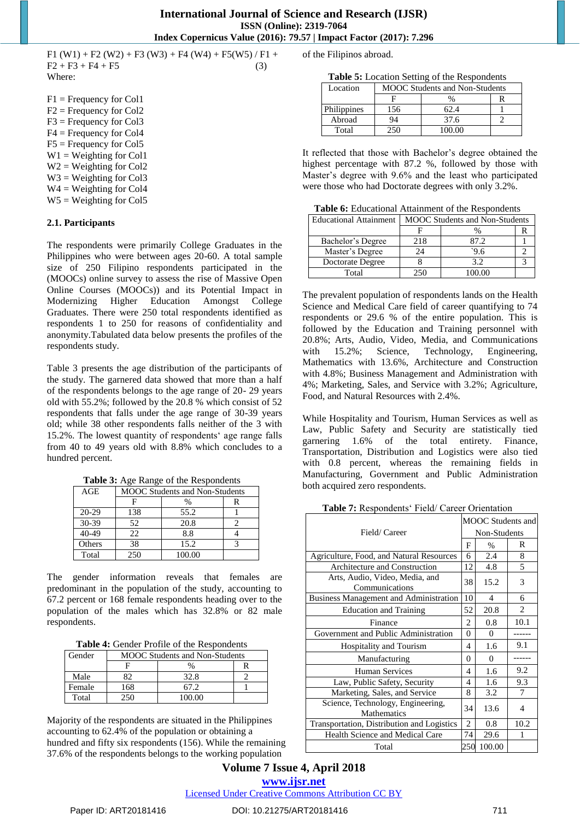F1 (W1) + F2 (W2) + F3 (W3) + F4 (W4) + F5 (W5) / F1 +  $F2 + F3 + F4 + F5$  (3) Where:

F1 = Frequency for Col1 F2 = Frequency for Col2 F3 = Frequency for Col3 F4 = Frequency for Col4 F5 = Frequency for Col5  $W1 = Weighting for Coll$  $W2 = Weiehting for Col2$  $W3 = Weighting for Col3$  $W4 = Weighting for Col4$  $W5 = Weighting for Col5$ 

#### **2.1. Participants**

The respondents were primarily College Graduates in the Philippines who were between ages 20-60. A total sample size of 250 Filipino respondents participated in the (MOOCs) online survey to assess the rise of Massive Open Online Courses (MOOCs)) and its Potential Impact in Modernizing Higher Education Amongst College Graduates. There were 250 total respondents identified as respondents 1 to 250 for reasons of confidentiality and anonymity.Tabulated data below presents the profiles of the respondents study.

Table 3 presents the age distribution of the participants of the study. The garnered data showed that more than a half of the respondents belongs to the age range of 20- 29 years old with 55.2%; followed by the 20.8 % which consist of 52 respondents that falls under the age range of 30-39 years old; while 38 other respondents falls neither of the 3 with 15.2%. The lowest quantity of respondents" age range falls from 40 to 49 years old with 8.8% which concludes to a hundred percent.

**Table 3:** Age Range of the Respondents

| AGE     | <b>MOOC</b> Students and Non-Students |        |   |
|---------|---------------------------------------|--------|---|
|         |                                       | %      | R |
| $20-29$ | 138                                   | 55.2   |   |
| 30-39   | 52                                    | 20.8   |   |
| 40-49   | 22                                    | 8.8    |   |
| Others  | 38                                    | 15.2   |   |
| Total   | 250                                   | 100.00 |   |

The gender information reveals that females are predominant in the population of the study, accounting to 67.2 percent or 168 female respondents heading over to the population of the males which has 32.8% or 82 male respondents.

**Table 4:** Gender Profile of the Respondents

| Gender | <b>MOOC</b> Students and Non-Students |        |  |  |
|--------|---------------------------------------|--------|--|--|
|        |                                       | $\%$   |  |  |
| Male   |                                       | 32.8   |  |  |
| Female | 168                                   | 67 2   |  |  |
| Total  |                                       | 100.00 |  |  |

Majority of the respondents are situated in the Philippines accounting to 62.4% of the population or obtaining a hundred and fifty six respondents (156). While the remaining 37.6% of the respondents belongs to the working population

of the Filipinos abroad.

**Table 5:** Location Setting of the Respondents

| Location    | <b>MOOC</b> Students and Non-Students |        |  |
|-------------|---------------------------------------|--------|--|
|             |                                       |        |  |
| Philippines | '56                                   | 62.4   |  |
| Abroad      | 94                                    | 37.6   |  |
| Total       |                                       | 100.00 |  |

It reflected that those with Bachelor"s degree obtained the highest percentage with 87.2 %, followed by those with Master's degree with 9.6% and the least who participated were those who had Doctorate degrees with only 3.2%.

**Table 6:** Educational Attainment of the Respondents

| <b>Educational Attainment</b> | <b>MOOC</b> Students and Non-Students |      |  |
|-------------------------------|---------------------------------------|------|--|
|                               |                                       |      |  |
| Bachelor's Degree             | 218                                   | 87.2 |  |
| Master's Degree               | 24                                    | 96   |  |
| Doctorate Degree              |                                       | 3.2  |  |
| Total                         | 250                                   |      |  |

The prevalent population of respondents lands on the Health Science and Medical Care field of career quantifying to 74 respondents or 29.6 % of the entire population. This is followed by the Education and Training personnel with 20.8%; Arts, Audio, Video, Media, and Communications with 15.2%; Science, Technology, Engineering, Mathematics with 13.6%, Architecture and Construction with 4.8%; Business Management and Administration with 4%; Marketing, Sales, and Service with 3.2%; Agriculture, Food, and Natural Resources with 2.4%.

While Hospitality and Tourism, Human Services as well as Law, Public Safety and Security are statistically tied garnering 1.6% of the total entirety. Finance, Transportation, Distribution and Logistics were also tied with 0.8 percent, whereas the remaining fields in Manufacturing, Government and Public Administration both acquired zero respondents.

Table 7: Respondents' Field/ Career Orientation

| Field/Career                                            |                | <b>MOOC</b> Students and |      |  |
|---------------------------------------------------------|----------------|--------------------------|------|--|
|                                                         |                | Non-Students             |      |  |
|                                                         | F              | $\%$                     | R    |  |
| Agriculture, Food, and Natural Resources                | 6              | 2.4                      | 8    |  |
| Architecture and Construction                           | 12             | 4.8                      | 5    |  |
| Arts, Audio, Video, Media, and<br>Communications        | 38             | 15.2                     | 3    |  |
| Business Management and Administration                  | 10             | 4                        | 6    |  |
| <b>Education and Training</b>                           | 52             | 20.8                     | 2    |  |
| Finance                                                 | 2              | 0.8                      | 10.1 |  |
| Government and Public Administration                    | 0              | 0                        |      |  |
| Hospitality and Tourism                                 | 4              | 1.6                      | 9.1  |  |
| Manufacturing                                           | 0              | 0                        |      |  |
| Human Services                                          | 4              | 1.6                      | 9.2  |  |
| Law, Public Safety, Security                            | 4              | 1.6                      | 9.3  |  |
| Marketing, Sales, and Service                           | 8              | 3.2                      | 7    |  |
| Science, Technology, Engineering,<br><b>Mathematics</b> |                | 13.6                     | 4    |  |
| Transportation, Distribution and Logistics              | $\overline{c}$ | 0.8                      | 10.2 |  |
| Health Science and Medical Care                         | 74             | 29.6                     |      |  |
| Total                                                   | 250            | 100.00                   |      |  |

# **Volume 7 Issue 4, April 2018 <www.ijsr.net>**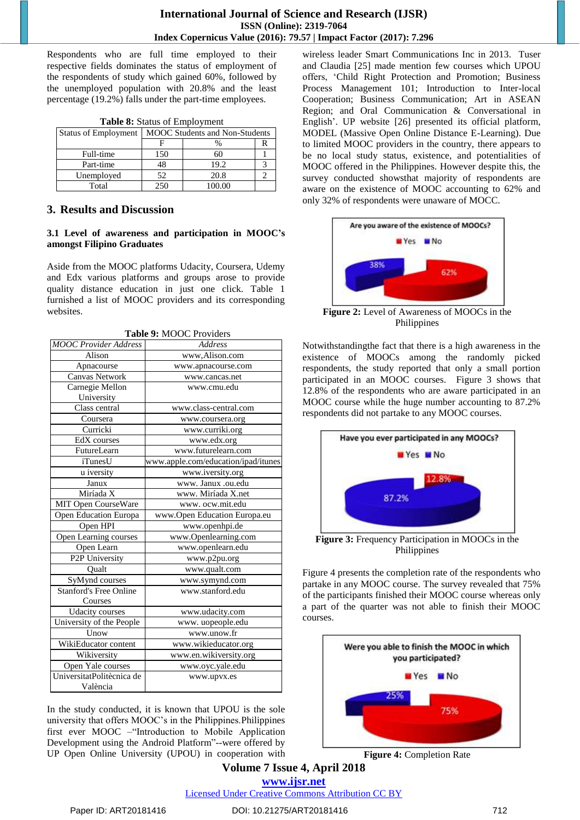Respondents who are full time employed to their respective fields dominates the status of employment of the respondents of study which gained 60%, followed by the unemployed population with 20.8% and the least percentage (19.2%) falls under the part-time employees.

| <b>rapic of Batta</b> s of Employment |                                       |        |  |  |
|---------------------------------------|---------------------------------------|--------|--|--|
| <b>Status of Employment</b>           | <b>MOOC</b> Students and Non-Students |        |  |  |
|                                       |                                       |        |  |  |
| Full-time                             | 150                                   |        |  |  |
| Part-time                             | 48                                    | 19.2   |  |  |
| Unemployed                            | 52                                    | 20.8   |  |  |
| Total                                 | 250                                   | 100.00 |  |  |

**Table 8:** Status of Employment

# **3. Results and Discussion**

#### **3.1 Level of awareness and participation in MOOC's amongst Filipino Graduates**

Aside from the MOOC platforms Udacity, Coursera, Udemy and Edx various platforms and groups arose to provide quality distance education in just one click. Table 1 furnished a list of MOOC providers and its corresponding websites.

| <b>MOOC</b> Provider Address  | <b>Address</b>                      |
|-------------------------------|-------------------------------------|
| Alison                        | www.Alison.com                      |
| Apnacourse                    | www.apnacourse.com                  |
| <b>Canvas Network</b>         | www.cancas.net                      |
| Carnegie Mellon               | www.cmu.edu                         |
| University                    |                                     |
| Class central                 | www.class-central.com               |
| Coursera                      | www.coursera.org                    |
| Curricki                      | www.curriki.org                     |
| EdX courses                   | www.edx.org                         |
| FutureLearn                   | www.futurelearn.com                 |
| iTunesU                       | www.apple.com/education/ipad/itunes |
| u iversity                    | www.iversity.org                    |
| Janux                         | www. Janux .ou.edu                  |
| Miríada X                     | www. Miríada X.net                  |
| MIT Open CourseWare           | www.ocw.mit.edu                     |
| Open Education Europa         | www.Open Education Europa.eu        |
| Open HPI                      | www.openhpi.de                      |
| Open Learning courses         | www.Openlearning.com                |
| Open Learn                    | www.openlearn.edu                   |
| P2P University                | www.p2pu.org                        |
| Qualt                         | www.qualt.com                       |
| SyMynd courses                | www.symynd.com                      |
| <b>Stanford's Free Online</b> | www.stanford.edu                    |
| Courses                       |                                     |
| <b>Udacity</b> courses        | www.udacity.com                     |
| University of the People      | www. uopeople.edu                   |
| Unow                          | www.unow.fr                         |
| WikiEducator content          | www.wikieducator.org                |
| Wikiversity                   | www.en.wikiversity.org              |
| Open Yale courses             | www.oyc.yale.edu                    |
| UniversitatPolitècnica de     | www.upvx.es                         |
| València                      |                                     |

In the study conducted, it is known that UPOU is the sole university that offers MOOC"s in the Philippines.Philippines first ever MOOC –"Introduction to Mobile Application Development using the Android Platform"--were offered by UP Open Online University (UPOU) in cooperation with wireless leader Smart Communications Inc in 2013. Tuser and Claudia [25] made mention few courses which UPOU offers, "Child Right Protection and Promotion; Business Process Management 101; Introduction to Inter-local Cooperation; Business Communication; Art in ASEAN Region; and Oral Communication & Conversational in English'. UP website [26] presented its official platform, MODEL (Massive Open Online Distance E-Learning). Due to limited MOOC providers in the country, there appears to be no local study status, existence, and potentialities of MOOC offered in the Philippines. However despite this, the survey conducted showsthat majority of respondents are aware on the existence of MOOC accounting to 62% and only 32% of respondents were unaware of MOCC.



**Figure 2:** Level of Awareness of MOOCs in the Philippines

Notwithstandingthe fact that there is a high awareness in the existence of MOOCs among the randomly picked respondents, the study reported that only a small portion participated in an MOOC courses. Figure 3 shows that 12.8% of the respondents who are aware participated in an MOOC course while the huge number accounting to 87.2% respondents did not partake to any MOOC courses.



**Figure 3:** Frequency Participation in MOOCs in the Philippines

Figure 4 presents the completion rate of the respondents who partake in any MOOC course. The survey revealed that 75% of the participants finished their MOOC course whereas only a part of the quarter was not able to finish their MOOC courses.



**Figure 4:** Completion Rate

**Volume 7 Issue 4, April 2018 <www.ijsr.net>**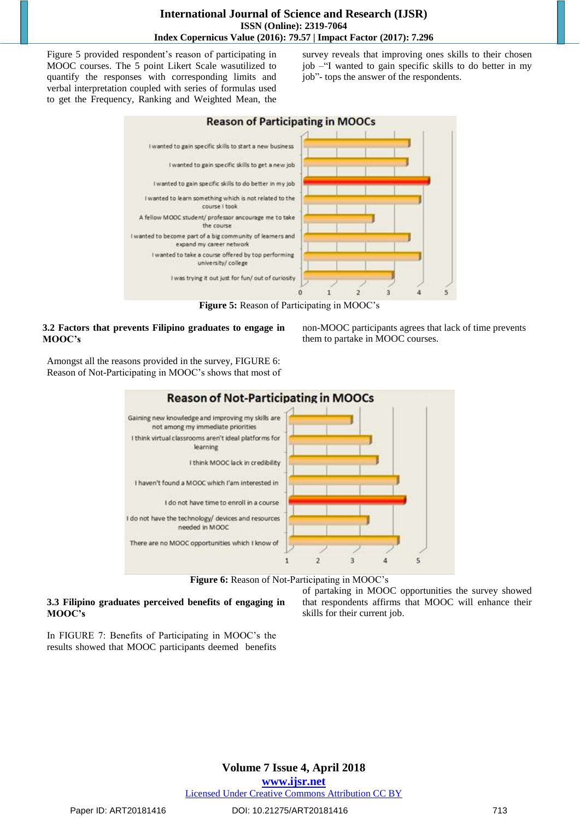Figure 5 provided respondent's reason of participating in MOOC courses. The 5 point Likert Scale wasutilized to quantify the responses with corresponding limits and verbal interpretation coupled with series of formulas used to get the Frequency, Ranking and Weighted Mean, the survey reveals that improving ones skills to their chosen job –"I wanted to gain specific skills to do better in my job"- tops the answer of the respondents.



**Figure 5:** Reason of Participating in MOOC"s

#### **3.2 Factors that prevents Filipino graduates to engage in MOOC's**

non-MOOC participants agrees that lack of time prevents them to partake in MOOC courses.

Amongst all the reasons provided in the survey, FIGURE 6: Reason of Not-Participating in MOOC"s shows that most of



Figure 6: Reason of Not-Participating in MOOC's

# **3.3 Filipino graduates perceived benefits of engaging in MOOC's**

of partaking in MOOC opportunities the survey showed that respondents affirms that MOOC will enhance their skills for their current job.

In FIGURE 7: Benefits of Participating in MOOC"s the results showed that MOOC participants deemed benefits

# **Volume 7 Issue 4, April 2018**

**<www.ijsr.net>**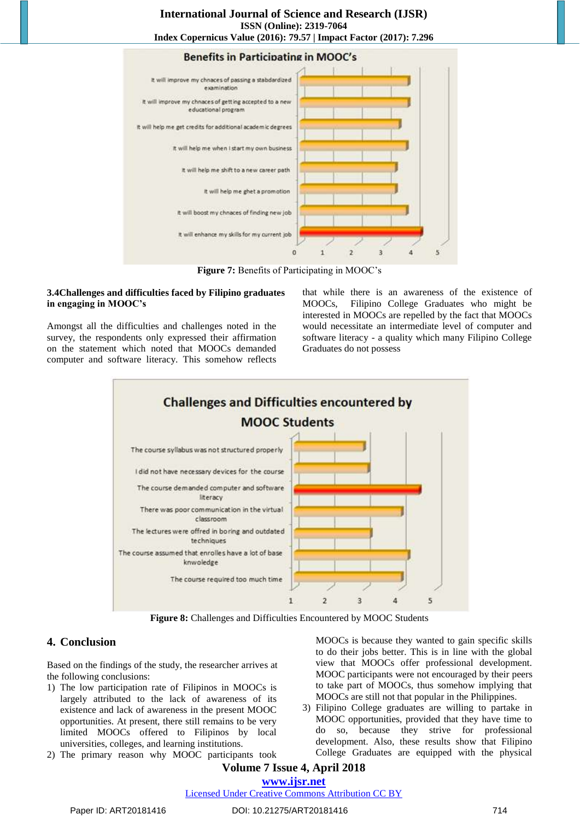#### **International Journal of Science and Research (IJSR) ISSN (Online): 2319-7064 Index Copernicus Value (2016): 79.57 | Impact Factor (2017): 7.296**



**Figure 7:** Benefits of Participating in MOOC"s

#### **3.4Challenges and difficulties faced by Filipino graduates in engaging in MOOC's**

Amongst all the difficulties and challenges noted in the survey, the respondents only expressed their affirmation on the statement which noted that MOOCs demanded computer and software literacy. This somehow reflects that while there is an awareness of the existence of MOOCs, Filipino College Graduates who might be interested in MOOCs are repelled by the fact that MOOCs would necessitate an intermediate level of computer and software literacy - a quality which many Filipino College Graduates do not possess



**Figure 8:** Challenges and Difficulties Encountered by MOOC Students

# **4. Conclusion**

Based on the findings of the study, the researcher arrives at the following conclusions:

- 1) The low participation rate of Filipinos in MOOCs is largely attributed to the lack of awareness of its existence and lack of awareness in the present MOOC opportunities. At present, there still remains to be very limited MOOCs offered to Filipinos by local universities, colleges, and learning institutions.
- 2) The primary reason why MOOC participants took

MOOCs is because they wanted to gain specific skills to do their jobs better. This is in line with the global view that MOOCs offer professional development. MOOC participants were not encouraged by their peers to take part of MOOCs, thus somehow implying that MOOCs are still not that popular in the Philippines.

3) Filipino College graduates are willing to partake in MOOC opportunities, provided that they have time to do so, because they strive for professional development. Also, these results show that Filipino College Graduates are equipped with the physical

# **Volume 7 Issue 4, April 2018 <www.ijsr.net>**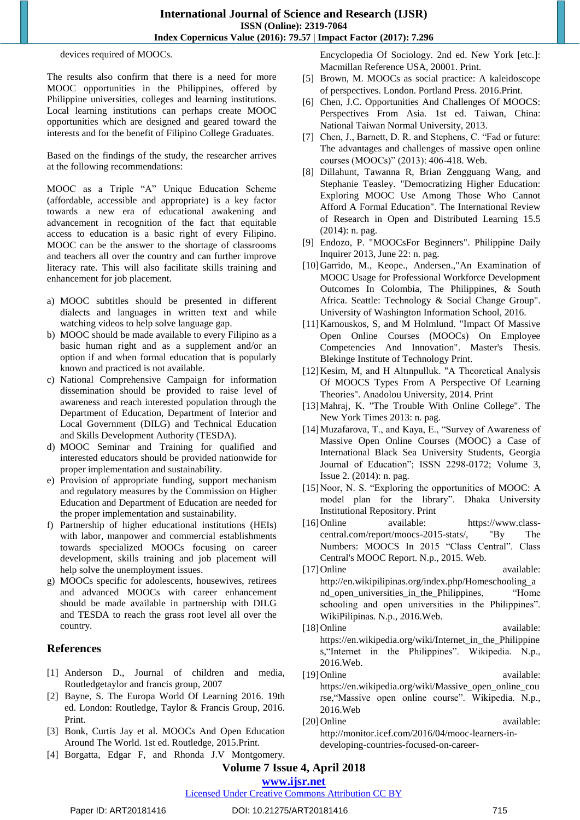devices required of MOOCs.

The results also confirm that there is a need for more MOOC opportunities in the Philippines, offered by Philippine universities, colleges and learning institutions. Local learning institutions can perhaps create MOOC opportunities which are designed and geared toward the interests and for the benefit of Filipino College Graduates.

Based on the findings of the study, the researcher arrives at the following recommendations:

MOOC as a Triple "A" Unique Education Scheme (affordable, accessible and appropriate) is a key factor towards a new era of educational awakening and advancement in recognition of the fact that equitable access to education is a basic right of every Filipino. MOOC can be the answer to the shortage of classrooms and teachers all over the country and can further improve literacy rate. This will also facilitate skills training and enhancement for job placement.

- a) MOOC subtitles should be presented in different dialects and languages in written text and while watching videos to help solve language gap.
- b) MOOC should be made available to every Filipino as a basic human right and as a supplement and/or an option if and when formal education that is popularly known and practiced is not available.
- c) National Comprehensive Campaign for information dissemination should be provided to raise level of awareness and reach interested population through the Department of Education, Department of Interior and Local Government (DILG) and Technical Education and Skills Development Authority (TESDA).
- d) MOOC Seminar and Training for qualified and interested educators should be provided nationwide for proper implementation and sustainability.
- e) Provision of appropriate funding, support mechanism and regulatory measures by the Commission on Higher Education and Department of Education are needed for the proper implementation and sustainability.
- f) Partnership of higher educational institutions (HEIs) with labor, manpower and commercial establishments towards specialized MOOCs focusing on career development, skills training and job placement will help solve the unemployment issues.
- g) MOOCs specific for adolescents, housewives, retirees and advanced MOOCs with career enhancement should be made available in partnership with DILG and TESDA to reach the grass root level all over the country.

# **References**

- [1] Anderson D., Journal of children and media, Routledgetaylor and francis group, 2007
- [2] Bayne, S. The Europa World Of Learning 2016. 19th ed. London: Routledge, Taylor & Francis Group, 2016. Print.
- [3] Bonk, Curtis Jay et al. MOOCs And Open Education Around The World. 1st ed. Routledge, 2015.Print.
- [4] Borgatta, Edgar F, and Rhonda J.V Montgomery.

Encyclopedia Of Sociology. 2nd ed. New York [etc.]: Macmillan Reference USA, 20001. Print.

- [5] Brown, M. MOOCs as social practice: A kaleidoscope of perspectives. London. Portland Press. 2016.Print.
- [6] Chen, J.C. Opportunities And Challenges Of MOOCS: Perspectives From Asia. 1st ed. Taiwan, China: National Taiwan Normal University, 2013.
- [7] Chen, J., Barnett, D. R. and Stephens, C. "Fad or future: The advantages and challenges of massive open online courses (MOOCs)" (2013): 406-418. Web.
- [8] Dillahunt, Tawanna R, Brian Zengguang Wang, and Stephanie Teasley. "Democratizing Higher Education: Exploring MOOC Use Among Those Who Cannot Afford A Formal Education". The International Review of Research in Open and Distributed Learning 15.5 (2014): n. pag.
- [9] Endozo, P. "MOOCsFor Beginners". Philippine Daily Inquirer 2013, June 22: n. pag.
- [10]Garrido, M., Keope., Andersen.,"An Examination of MOOC Usage for Professional Workforce Development Outcomes In Colombia, The Philippines, & South Africa. Seattle: Technology & Social Change Group". University of Washington Information School, 2016.
- [11] Karnouskos, S, and M Holmlund. "Impact Of Massive Open Online Courses (MOOCs) On Employee Competencies And Innovation". Master's Thesis. Blekinge Institute of Technology Print.
- [12] Kesim, M, and H Altınpulluk. "A Theoretical Analysis Of MOOCS Types From A Perspective Of Learning Theories". Anadolou University, 2014. Print
- [13]Mahraj, K. "The Trouble With Online College". The New York Times 2013: n. pag.
- [14]Muzafarova, T., and Kaya, E., "Survey of Awareness of Massive Open Online Courses (MOOC) a Case of International Black Sea University Students, Georgia Journal of Education"; ISSN 2298-0172; Volume 3, Issue 2. (2014): n. pag.
- [15] Noor, N. S. "Exploring the opportunities of MOOC: A model plan for the library". Dhaka University Institutional Repository. Print
- [16]Online available: [https://www.class](https://www.class-central.com/report/moocs-2015-stats/)[central.com/report/moocs-2015-stats/,](https://www.class-central.com/report/moocs-2015-stats/) "By The Numbers: MOOCS In 2015 "Class Central". Class Central's MOOC Report. N.p., 2015. Web.
- [17]Online available: [http://en.wikipilipinas.org/index.php/Homeschooling\\_a](http://en.wikipilipinas.org/index.php/Homeschooling_and_open_universities_in_the_Philippines) nd open universities in the Philippines, "Home schooling and open universities in the Philippines". WikiPilipinas. N.p., 2016.Web.
- [18] Online available: [https://en.wikipedia.org/wiki/Internet\\_in\\_the\\_Philippine](https://en.wikipedia.org/wiki/Internet_in_the_Philippines) [s,"](https://en.wikipedia.org/wiki/Internet_in_the_Philippines)Internet in the Philippines". Wikipedia. N.p., 2016.Web.
- [19]Online available: [https://en.wikipedia.org/wiki/Massive\\_open\\_online\\_cou](https://en.wikipedia.org/wiki/Massive_open_online_course) [rse,](https://en.wikipedia.org/wiki/Massive_open_online_course)"Massive open online course". Wikipedia. N.p., 2016.Web
- [20]Online available: [http://monitor.icef.com/2016/04/mooc-learners-in](http://monitor.icef.com/2016/04/mooc-learners-in-developing-countries-focused-on-career-development/)[developing-countries-focused-on-career-](http://monitor.icef.com/2016/04/mooc-learners-in-developing-countries-focused-on-career-development/)

# **Volume 7 Issue 4, April 2018**

#### **<www.ijsr.net>** [Licensed Under Creative Commons Attribution CC BY](http://creativecommons.org/licenses/by/4.0/)